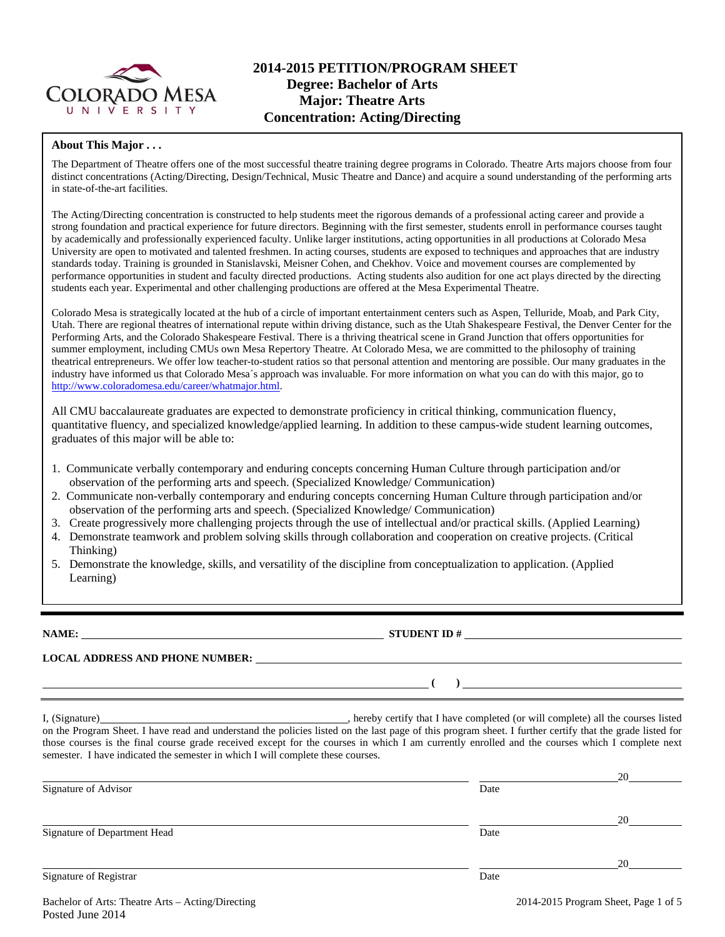

# **2014-2015 PETITION/PROGRAM SHEET Degree: Bachelor of Arts Major: Theatre Arts Concentration: Acting/Directing**

#### **About This Major . . .**

The Department of Theatre offers one of the most successful theatre training degree programs in Colorado. Theatre Arts majors choose from four distinct concentrations (Acting/Directing, Design/Technical, Music Theatre and Dance) and acquire a sound understanding of the performing arts in state-of-the-art facilities.

The Acting/Directing concentration is constructed to help students meet the rigorous demands of a professional acting career and provide a strong foundation and practical experience for future directors. Beginning with the first semester, students enroll in performance courses taught by academically and professionally experienced faculty. Unlike larger institutions, acting opportunities in all productions at Colorado Mesa University are open to motivated and talented freshmen. In acting courses, students are exposed to techniques and approaches that are industry standards today. Training is grounded in Stanislavski, Meisner Cohen, and Chekhov. Voice and movement courses are complemented by performance opportunities in student and faculty directed productions. Acting students also audition for one act plays directed by the directing students each year. Experimental and other challenging productions are offered at the Mesa Experimental Theatre.

Colorado Mesa is strategically located at the hub of a circle of important entertainment centers such as Aspen, Telluride, Moab, and Park City, Utah. There are regional theatres of international repute within driving distance, such as the Utah Shakespeare Festival, the Denver Center for the Performing Arts, and the Colorado Shakespeare Festival. There is a thriving theatrical scene in Grand Junction that offers opportunities for summer employment, including CMUs own Mesa Repertory Theatre. At Colorado Mesa, we are committed to the philosophy of training theatrical entrepreneurs. We offer low teacher-to-student ratios so that personal attention and mentoring are possible. Our many graduates in the industry have informed us that Colorado Mesa´s approach was invaluable. For more information on what you can do with this major, go to http://www.coloradomesa.edu/career/whatmajor.html.

All CMU baccalaureate graduates are expected to demonstrate proficiency in critical thinking, communication fluency, quantitative fluency, and specialized knowledge/applied learning. In addition to these campus-wide student learning outcomes, graduates of this major will be able to:

- 1. Communicate verbally contemporary and enduring concepts concerning Human Culture through participation and/or observation of the performing arts and speech. (Specialized Knowledge/ Communication)
- 2. Communicate non-verbally contemporary and enduring concepts concerning Human Culture through participation and/or observation of the performing arts and speech. (Specialized Knowledge/ Communication)
- 3. Create progressively more challenging projects through the use of intellectual and/or practical skills. (Applied Learning)
- 4. Demonstrate teamwork and problem solving skills through collaboration and cooperation on creative projects. (Critical Thinking)
- 5. Demonstrate the knowledge, skills, and versatility of the discipline from conceptualization to application. (Applied Learning)

**NAME: STUDENT ID #**

**LOCAL ADDRESS AND PHONE NUMBER:**

 **( )** 

I, (Signature) , hereby certify that I have completed (or will complete) all the courses listed on the Program Sheet. I have read and understand the policies listed on the last page of this program sheet. I further certify that the grade listed for those courses is the final course grade received except for the courses in which I am currently enrolled and the courses which I complete next semester. I have indicated the semester in which I will complete these courses.

|      | 20 |
|------|----|
| Date |    |
|      | 20 |
| Date |    |
|      | 20 |
| Date |    |
|      |    |

Bachelor of Arts: Theatre Arts – Acting/Directing 2014-2015 Program Sheet, Page 1 of 5 Posted June 2014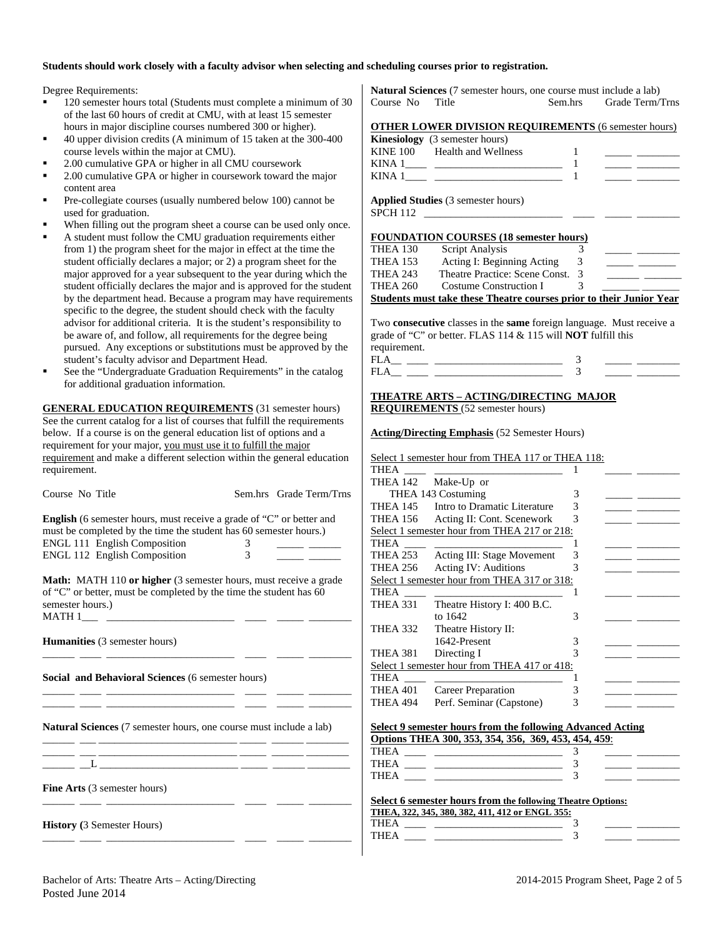#### **Students should work closely with a faculty advisor when selecting and scheduling courses prior to registration.**

Degree Requirements:

- <sup>120</sup> semester hours total (Students must complete a minimum of 30 of the last 60 hours of credit at CMU, with at least 15 semester hours in major discipline courses numbered 300 or higher).
- 40 upper division credits (A minimum of 15 taken at the 300-400 course levels within the major at CMU).
- 2.00 cumulative GPA or higher in all CMU coursework
- 2.00 cumulative GPA or higher in coursework toward the major content area
- Pre-collegiate courses (usually numbered below 100) cannot be used for graduation.
- When filling out the program sheet a course can be used only once.
- A student must follow the CMU graduation requirements either from 1) the program sheet for the major in effect at the time the student officially declares a major; or 2) a program sheet for the major approved for a year subsequent to the year during which the student officially declares the major and is approved for the student by the department head. Because a program may have requirements specific to the degree, the student should check with the faculty advisor for additional criteria. It is the student's responsibility to be aware of, and follow, all requirements for the degree being pursued. Any exceptions or substitutions must be approved by the student's faculty advisor and Department Head.
- See the "Undergraduate Graduation Requirements" in the catalog for additional graduation information.

**GENERAL EDUCATION REQUIREMENTS** (31 semester hours) See the current catalog for a list of courses that fulfill the requirements below. If a course is on the general education list of options and a requirement for your major, you must use it to fulfill the major requirement and make a different selection within the general education requirement.

| Course No Title                                                                                                                                                                                                         |        | Sem.hrs Grade Term/Trns |
|-------------------------------------------------------------------------------------------------------------------------------------------------------------------------------------------------------------------------|--------|-------------------------|
| <b>English</b> (6 semester hours, must receive a grade of "C" or better and<br>must be completed by the time the student has 60 semester hours.)<br>ENGL 111 English Composition<br><b>ENGL 112 English Composition</b> | 3<br>3 |                         |
| <b>Math:</b> MATH 110 or higher (3 semester hours, must receive a grade<br>of "C" or better, must be completed by the time the student has 60<br>semester hours.)                                                       |        |                         |
| <b>Humanities</b> (3 semester hours)                                                                                                                                                                                    |        |                         |
| Social and Behavioral Sciences (6 semester hours)                                                                                                                                                                       |        |                         |
| <b>Natural Sciences</b> (7 semester hours, one course must include a lab)                                                                                                                                               |        |                         |
| <u> 1988 - Johann Barn, mars ann an t-Amhair ann an t-</u>                                                                                                                                                              |        |                         |
| <b>Fine Arts</b> (3 semester hours)                                                                                                                                                                                     |        |                         |
| <b>History</b> (3 Semester Hours)                                                                                                                                                                                       |        |                         |

**Natural Sciences** (7 semester hours, one course must include a lab) Course No Title Sem.hrs Grade Term/Trns

|  |  | <b>OTHER LOWER DIVISION REQUIREMENTS (6 semester hours)</b> |  |
|--|--|-------------------------------------------------------------|--|
|  |  |                                                             |  |

|                 | <b>Kinesiology</b> (3 semester hours)         |   |  |
|-----------------|-----------------------------------------------|---|--|
|                 | KINE 100 Health and Wellness                  |   |  |
|                 |                                               |   |  |
|                 |                                               |   |  |
| <b>SPCH 112</b> | <b>Applied Studies</b> (3 semester hours)     |   |  |
|                 |                                               |   |  |
|                 | <b>FOUNDATION COURSES (18 semester hours)</b> |   |  |
| THEA 130        | Script Analysis                               |   |  |
| THEA 153        | Acting I: Beginning Acting                    | 3 |  |
| THEA 243        | Theatre Practice: Scene Const.                | 3 |  |
| <b>THEA 260</b> | Costume Construction I                        | 3 |  |

Two **consecutive** classes in the **same** foreign language. Must receive a grade of "C" or better. FLAS 114 & 115 will **NOT** fulfill this requirement.

#### **THEATRE ARTS – ACTING/DIRECTING MAJOR REQUIREMENTS** (52 semester hours)

**Acting/Directing Emphasis** (52 Semester Hours)

|                 | Select 1 semester hour from THEA 117 or THEA 118: |   |  |
|-----------------|---------------------------------------------------|---|--|
| THEA            |                                                   |   |  |
| THEA 142        | Make-Up or                                        |   |  |
|                 | THEA 143 Costuming                                | 3 |  |
| <b>THEA 145</b> | Intro to Dramatic Literature                      | 3 |  |
| <b>THEA 156</b> | Acting II: Cont. Scenework                        | 3 |  |
|                 | Select 1 semester hour from THEA 217 or 218:      |   |  |
| THEA            |                                                   |   |  |
| <b>THEA 253</b> | <b>Acting III: Stage Movement</b>                 | 3 |  |
| <b>THEA 256</b> | <b>Acting IV: Auditions</b>                       | 3 |  |
|                 | Select 1 semester hour from THEA 317 or 318:      |   |  |
| THEA            |                                                   |   |  |
| THEA 331        | Theatre History I: 400 B.C.                       |   |  |
|                 | to 1642                                           | 3 |  |
| <b>THEA 332</b> | Theatre History II:                               |   |  |
|                 | 1642-Present                                      | 3 |  |
| THEA 381        | Directing I                                       |   |  |
|                 | Select 1 semester hour from THEA 417 or 418:      |   |  |
| THEA            |                                                   |   |  |
| <b>THEA 401</b> | Career Preparation                                | 3 |  |
| THEA 494        | Perf. Seminar (Capstone)                          | 3 |  |
|                 |                                                   |   |  |

| Select 9 semester hours from the following Advanced Acting |  |  |  |  |  |
|------------------------------------------------------------|--|--|--|--|--|
| Options THEA 300, 353, 354, 356, 369, 453, 454, 459:       |  |  |  |  |  |

| тн          |  |  |
|-------------|--|--|
| тц<br>----- |  |  |
| TU          |  |  |

| Select 6 semester hours from the following Theatre Options: |  |
|-------------------------------------------------------------|--|
| THEA. 322. 345. 380. 382. 411. 412 or ENGL 355:             |  |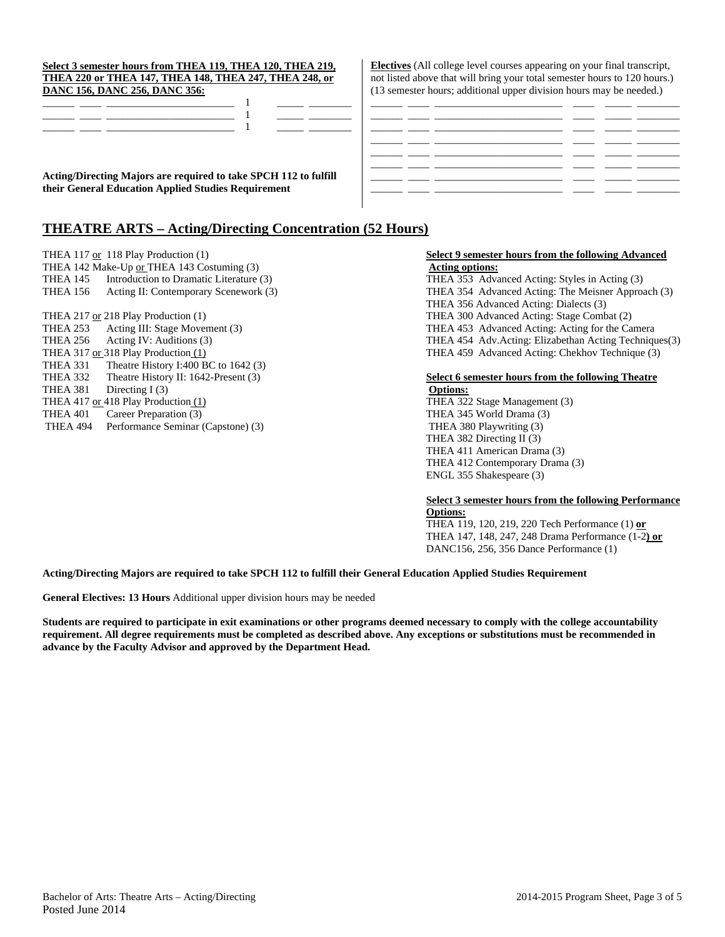|          | THEA 217 or 218 Play Production (1) |
|----------|-------------------------------------|
| THEA 253 | Acting III: Stage Movement (3)      |

THEA 331 Theatre History I:400 BC to 1642 (3) THEA 381 Directing I (3) **Options:** THEA 417 or 418 Play Production (1) THEA 322 Stage Management (3) THEA 401 Career Preparation (3) THEA 345 World Drama (3)

#### **Select 3 semester hours from THEA 119, THEA 120, THEA 219, THEA 220 or THEA 147, THEA 148, THEA 247, THEA 248, or DANC 156, DANC 256, DANC 356:**

**Acting/Directing Majors are required to take SPCH 112 to fulfill their General Education Applied Studies Requirement** 

# **THEATRE ARTS – Acting/Directing Concentration (52 Hours)**

**Electives** (All college level courses appearing on your final transcript, not listed above that will bring your total semester hours to 120 hours.) (13 semester hours; additional upper division hours may be needed.)

## THEA 117 or 118 Play Production (1) **Select 9 semester hours from the following Advanced** THEA 142 Make-Up <u>or</u> THEA 143 Costuming (3) **Acting options:**

THEA 145 Introduction to Dramatic Literature (3) THEA 353 Advanced Acting: Styles in Acting (3) THEA 156 Acting II: Contemporary Scenework (3) THEA 354 Advanced Acting: The Meisner Approach (3) THEA 356 Advanced Acting: Dialects (3) THEA 300 Advanced Acting: Stage Combat (2) THEA 253 Acting III: Stage Movement (3) THEA 453 Advanced Acting: Acting for the Camera<br>THEA 256 Acting IV: Auditions (3) THEA 454 Adv. Acting: Elizabethan Acting Techniqu THEA 256 Acting IV: Auditions (3) THEA 454 Adv.Acting: Elizabethan Acting Techniques(3)<br>THEA 459 Advanced Acting: Chekhov Technique (3) THEA 459 Advanced Acting: Chekhov Technique (3) THEA 459 Advanced Acting: Chekhov Technique (3)

# THEA 332 Theatre History II: 1642-Present (3) **Select 6 semester hours from the following Theatre**

THEA 494 Performance Seminar (Capstone) (3) THEA 380 Playwriting (3) THEA 382 Directing II (3) THEA 411 American Drama (3) THEA 412 Contemporary Drama (3) ENGL 355 Shakespeare (3)

#### **Select 3 semester hours from the following Performance Options:**

 THEA 119, 120, 219, 220 Tech Performance (1) **or**  THEA 147, 148, 247, 248 Drama Performance (1-2**) or**  DANC156, 256, 356 Dance Performance (1)

### **Acting/Directing Majors are required to take SPCH 112 to fulfill their General Education Applied Studies Requirement**

**General Electives: 13 Hours** Additional upper division hours may be needed

**Students are required to participate in exit examinations or other programs deemed necessary to comply with the college accountability requirement. All degree requirements must be completed as described above. Any exceptions or substitutions must be recommended in advance by the Faculty Advisor and approved by the Department Head.**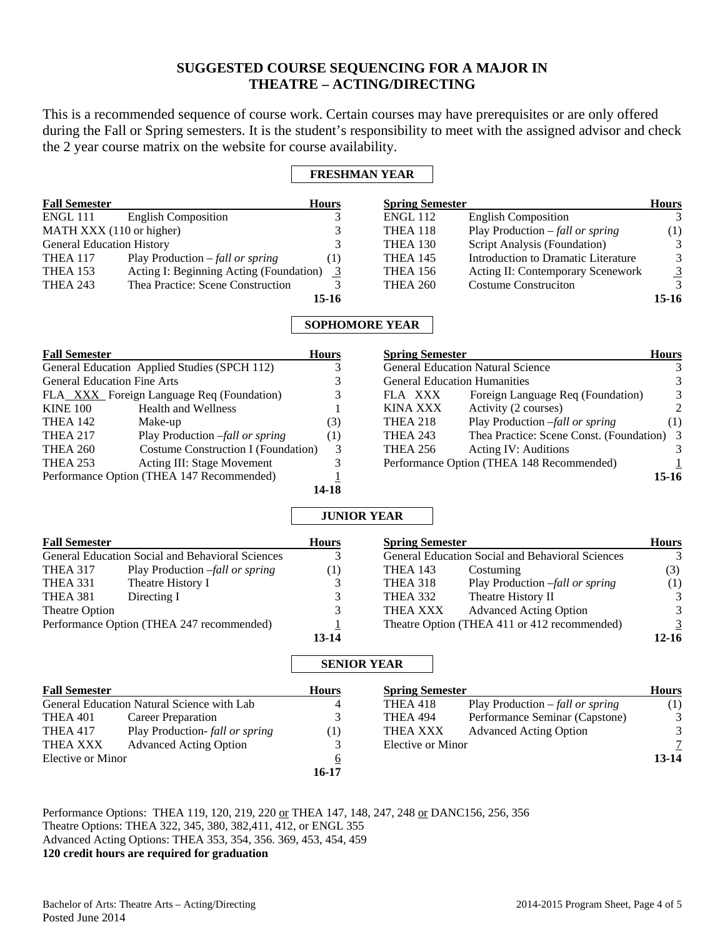# **SUGGESTED COURSE SEQUENCING FOR A MAJOR IN THEATRE – ACTING/DIRECTING**

This is a recommended sequence of course work. Certain courses may have prerequisites or are only offered during the Fall or Spring semesters. It is the student's responsibility to meet with the assigned advisor and check the 2 year course matrix on the website for course availability.

## **FRESHMAN YEAR**

| <b>Fall Semester</b>             |                                          | <b>Hours</b> | <b>Spring Semester</b> |                                          | <b>Hours</b>   |
|----------------------------------|------------------------------------------|--------------|------------------------|------------------------------------------|----------------|
| ENGL 111                         | <b>English Composition</b>               |              | <b>ENGL 112</b>        | <b>English Composition</b>               |                |
| MATH XXX (110 or higher)         |                                          |              | THEA 118               | Play Production $-\text{fall or spring}$ | (1)            |
| <b>General Education History</b> |                                          |              | <b>THEA 130</b>        | Script Analysis (Foundation)             | 3              |
| <b>THEA 117</b>                  | Play Production $-\text{fall or spring}$ | (1)          | <b>THEA 145</b>        | Introduction to Dramatic Literature      | 3              |
| THEA 153                         | Acting I: Beginning Acting (Foundation)  | 3            | <b>THEA 156</b>        | Acting II: Contemporary Scenework        | $\overline{3}$ |
| <b>THEA 243</b>                  | Thea Practice: Scene Construction        |              | <b>THEA 260</b>        | <b>Costume Construction</b>              |                |
|                                  |                                          | 15-16        |                        |                                          | 15-16          |

# **SOPHOMORE YEAR**

| <b>Fall Semester</b>                         |                                           | <b>Hours</b>      | <b>Spring Semester</b> |                                            | <b>Hours</b> |
|----------------------------------------------|-------------------------------------------|-------------------|------------------------|--------------------------------------------|--------------|
| General Education Applied Studies (SPCH 112) |                                           |                   |                        | <b>General Education Natural Science</b>   |              |
| <b>General Education Fine Arts</b>           |                                           |                   |                        | <b>General Education Humanities</b>        |              |
|                                              | FLA_XXX_Foreign Language Req (Foundation) |                   | FLA XXX                | Foreign Language Req (Foundation)          | 3            |
| <b>KINE 100</b>                              | <b>Health and Wellness</b>                |                   | KINA XXX               | Activity (2 courses)                       | $2^{\circ}$  |
| <b>THEA 142</b>                              | Make-up                                   | (3)               | <b>THEA 218</b>        | Play Production -fall or spring            | (1)          |
| <b>THEA 217</b>                              | Play Production -fall or spring           | $\left( 1\right)$ | <b>THEA 243</b>        | Thea Practice: Scene Const. (Foundation) 3 |              |
| <b>THEA 260</b>                              | Costume Construction I (Foundation)       |                   | <b>THEA 256</b>        | <b>Acting IV: Auditions</b>                |              |
| <b>THEA 253</b>                              | Acting III: Stage Movement                |                   |                        | Performance Option (THEA 148 Recommended)  |              |
| Performance Option (THEA 147 Recommended)    |                                           |                   |                        |                                            | $15-16$      |
|                                              |                                           | 14-18             |                        |                                            |              |

## **JUNIOR YEAR**

| <b>Fall Semester</b>                                    |                                 | <b>Hours</b> | <b>Spring Semester</b>                           |                                          | <b>Hours</b> |
|---------------------------------------------------------|---------------------------------|--------------|--------------------------------------------------|------------------------------------------|--------------|
| <b>General Education Social and Behavioral Sciences</b> |                                 | 3            | General Education Social and Behavioral Sciences |                                          | 3            |
| <b>THEA 317</b>                                         | Play Production -fall or spring | (1)          | <b>THEA 143</b>                                  | Costuming                                | (3)          |
| <b>THEA 331</b>                                         | Theatre History I               | 3            | <b>THEA 318</b>                                  | Play Production -fall or spring          | (1)          |
| THEA 381                                                | Directing I                     | 3            | <b>THEA 332</b>                                  | Theatre History II                       | 3            |
| Theatre Option                                          |                                 | 3            | THEA XXX                                         | <b>Advanced Acting Option</b>            | 3            |
| Performance Option (THEA 247 recommended)               |                                 |              | Theatre Option (THEA 411 or 412 recommended)     |                                          | 3            |
|                                                         |                                 | $13 - 14$    |                                                  |                                          | $12 - 16$    |
|                                                         |                                 |              | <b>SENIOR YEAR</b>                               |                                          |              |
| <b>Fall Semester</b>                                    |                                 | <b>Hours</b> | <b>Spring Semester</b>                           |                                          | <b>Hours</b> |
| General Education Natural Science with Lab              |                                 | 4            | <b>THEA 418</b>                                  | Play Production $-\text{fall or spring}$ | (1)          |
| THEA 401                                                | <b>Career Preparation</b>       | 3            | <b>THEA 494</b>                                  | Performance Seminar (Capstone)           | 3            |
| <b>THEA 417</b>                                         | Play Production- fall or spring | (1)          | <b>THEA XXX</b>                                  | <b>Advanced Acting Option</b>            | 3            |
| THEA XXX                                                | <b>Advanced Acting Option</b>   | 3            | Elective or Minor                                |                                          |              |
| Elective or Minor                                       |                                 | <u>6</u>     |                                                  |                                          | 13-14        |

Performance Options: THEA 119, 120, 219, 220 or THEA 147, 148, 247, 248 or DANC156, 256, 356 Theatre Options: THEA 322, 345, 380, 382,411, 412, or ENGL 355 Advanced Acting Options: THEA 353, 354, 356. 369, 453, 454, 459 **120 credit hours are required for graduation** 

**16-17**